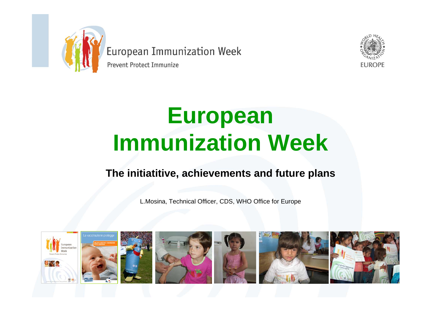

Prevent Protect Immunize



# **European Immunization Week**

#### **The initiatitive, achievements and future plans**

L.Mosina, Technical Officer, CDS, WHO Office for Europe

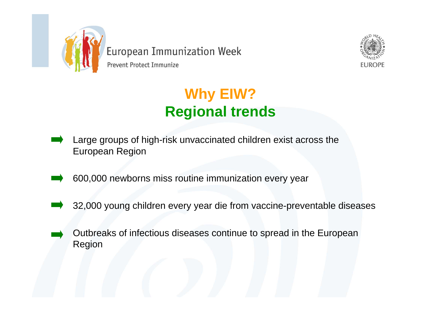



Prevent Protect Immunize

## **Why EIW? Regional trends**

- Large groups of high-risk unvaccinated children exist across the European Region
- 600,000 newborns miss routine immunization every year
- 32,000 young children every year die from vaccine-preventable diseases
- Outbreaks of infectious diseases continue to spread in the European Region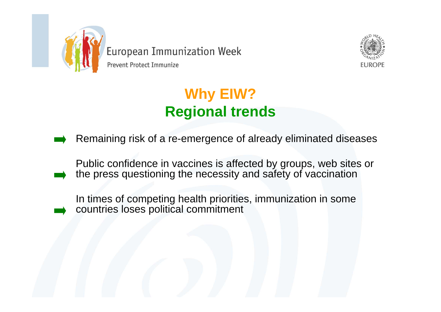



### **Why EIW? Regional trends**

Remaining risk of a re-emergence of already eliminated diseases

Public confidence in vaccines is affected by groups, web sites or the press questioning the necessity and safety of vaccination

In times of competing health priorities, immunization in some countries loses political commitment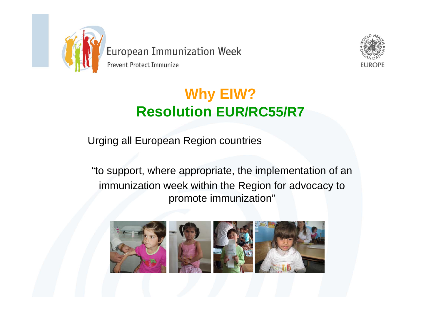



### **Why EIW? Resolution EUR/RC55/R7**

Urging all European Region countries

"to support, where appropriate, the implementation of an immunization week within the Region for advocacy to promote immunization"

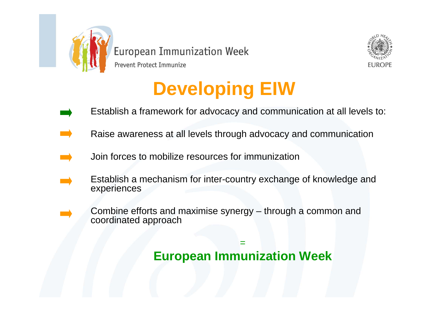

Prevent Protect Immunize



# **Developing EIW**

- Establish a framework for advocacy and communication at all levels to:
- Raise awareness at all levels through advocacy and communication
- Join forces to mobilize resources for immunization
- Establish a mechanism for inter-country exchange of knowledge and experiences
	- Combine efforts and maximise synergy through a common and coordinated approach

**European Immunization Week**

=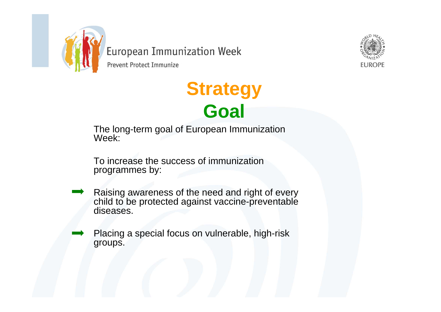

Prevent Protect Immunize



# **Strategy Goal**

The long-term goal of European Immunization Week:

To increase the success of immunization programmes by:

- Raising awareness of the need and right of every child to be protected against vaccine-preventable diseases.
- Placing a special focus on vulnerable, high-risk groups.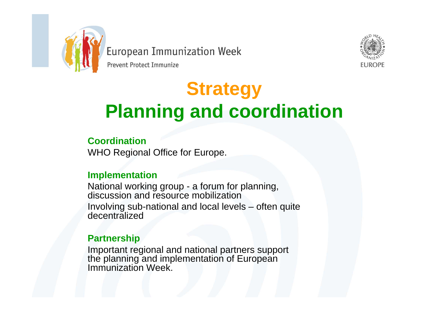

Prevent Protect Immunize



# **Strategy Planning and coordination**

#### **Coordination**

WHO Regional Office for Europe.

#### **Implementation**

National working group - a forum for planning, discussion and resource mobilization Involving sub-national and local levels – often quite decentralized

#### **Partnership**

Important regional and national partners support the planning and implementation of European Immunization Week.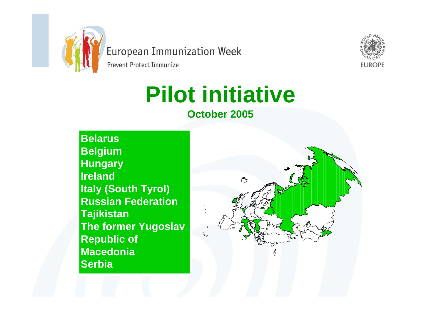

Prevent Protect Immunize



# **Pilot initiative**

#### **October 2005**

**Belarus Belgium Hungary Ireland Italy (South Tyrol) Russian Federation Tajikistan The former Yugoslav Republic of Macedonia Serbia**

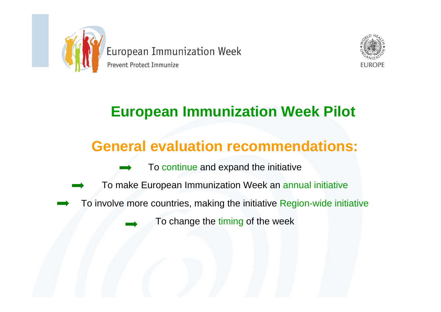



## **European Immunization Week Pilot**

### **General evaluation recommendations:**

- To continue and expand the initiative
- To make European Immunization Week an annual initiative
- To involve more countries, making the initiative Region-wide initiative

To change the timing of the week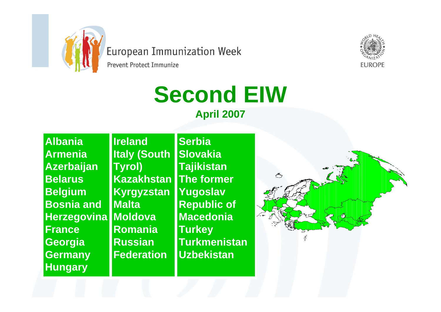

Prevent Protect Immunize

# **Second EIW**



**AlbaniaArmeniaAzerbaijan BelarusBelgium Bosnia and Herzegovina Moldova FranceGeorgia Germany Hungary**

**Ireland Italy (South Tyrol) Kazakhstan Kyrgyzstan MaltaRomaniaRussian Federation** 

**SerbiaSlovakiaTajikistan The former Yugoslav Republic of MacedoniaTurkey Turkmenistan Uzbekistan** 



**FUROPE**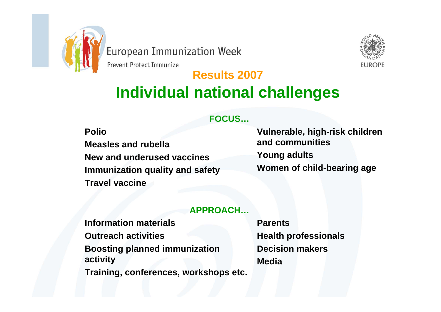

Prevent Protect Immunize



#### **Results 2007 Individual national challenges**

#### **FOCUS…**

**Polio**

**Measles and rubellaNew and underused vaccinesImmunization quality and safety Travel vaccine**

**Vulnerable, high-risk children and communitiesYoung adults Women of child-bearing age**

#### **APPROACH…**

**Information materialsOutreach activities Boosting planned immunization activity Training, conferences, workshops etc.** **ParentsHealth professionals Decision makersMedia**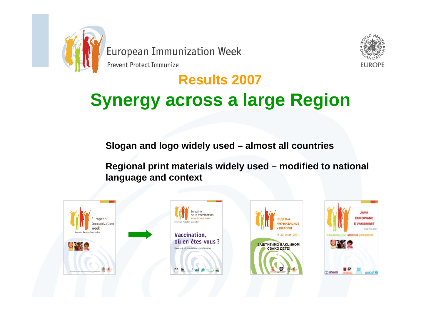

Prevent Protect Immunize



## **Results 2007 Synergy across a large Region**

**Slogan and logo widely used – almost all countries**

**Regional print materials widely used – modified to national language and context**







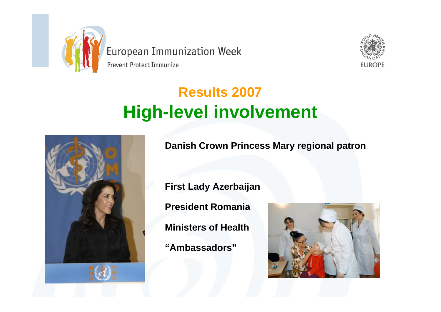

Prevent Protect Immunize



## **Results 2007 High-level involvement**



**Danish Crown Princess Mary regional patron**

**First Lady Azerbaijan**

**President Romania**

**Ministers of Health**

**"Ambassadors"**

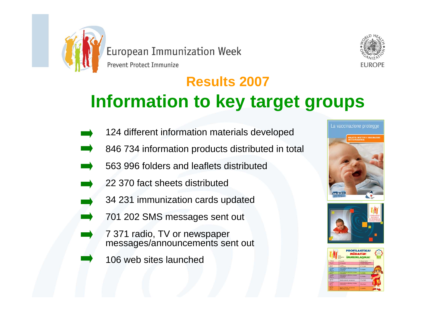



## **Results 2007 Information to key target groups**

- 124 different information materials developed
- 846 734 information products distributed in total
- 563 996 folders and leaflets distributed
- 22 370 fact sheets distributed
- 34 231 immunization cards updated
- 701 202 SMS messages sent out
- 7 371 radio, TV or newspaper messages/announcements sent out
	- 106 web sites launched





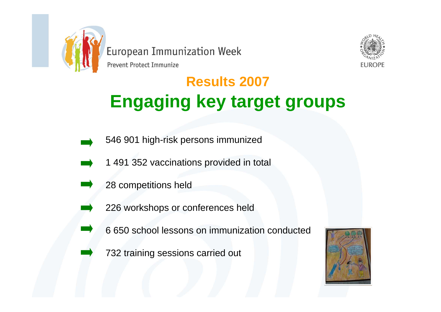

Prevent Protect Immunize



## **Results 2007 Engaging key target groups**

- 546 901 high-risk persons immunized
- 1 491 352 vaccinations provided in total
	- 28 competitions held
	- 226 workshops or conferences held
	- 6 650 school lessons on immunization conducted
	- 732 training sessions carried out

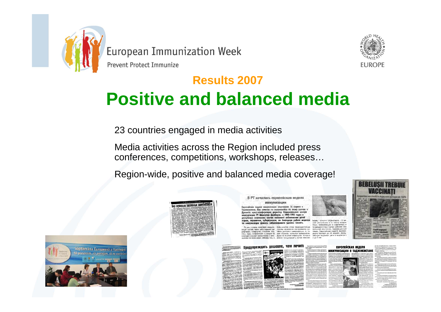

Prevent Protect Immunize



## **Results 2007 Positive and balanced media**

23 countries engaged in media activities

Media activities across the Region included press conferences, competitions, workshops, releases…

Region-wide, positive and balanced media coverage!



В РТ началась европейская неделя иммунизации

Европейская недоля иммунизации стартовала 16 апреля в Тоджикистоне. Как отметна но состоявшейся по этому случою в иба пресс-конференции директор Национального центра изонии РТ Шамсулло Джобиров, в 1992-1995 годах в нике отмечались случаи массового заболевания детей параличом, туберкулезом, но благодаря работе мед

и гепатит В. ким образом, остаются воспринмч ee 3 Mm выми ко многим инфекциям, которые









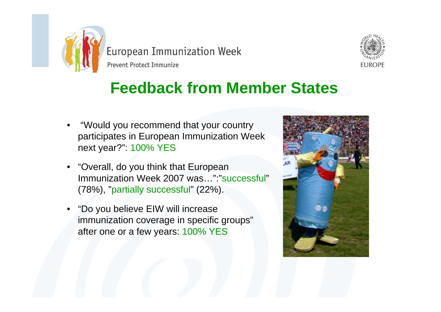

Prevent Protect Immunize



## **Feedback from Member States**

- "Would you recommend that your country participates in European Immunization Week next year?": 100% YES
- "Overall, do you think that European Immunization Week 2007 was...":"Successful" (78%), "partially successful" (22%).
- "Do you believe EIW will increase immunization coverage in specific groups" after one or a few years: 100% YES

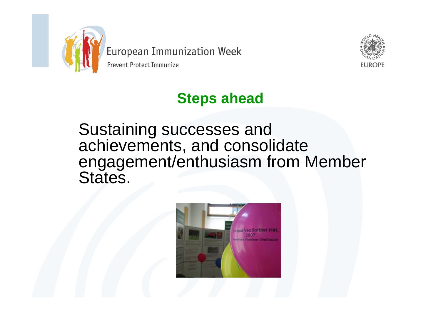

Prevent Protect Immunize



### **Steps ahead**

Sustaining successes and achievements, and consolidate engagement/enthusiasm from Member States.

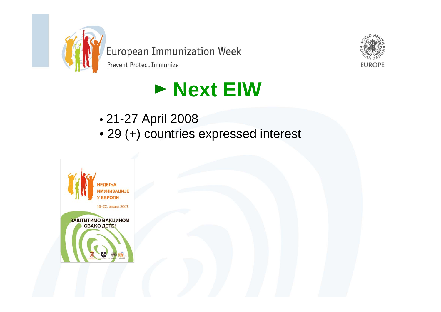

Prevent Protect Immunize



# **Next EIW**

- 21-27 April 2008
- 29 (+) countries expressed interest